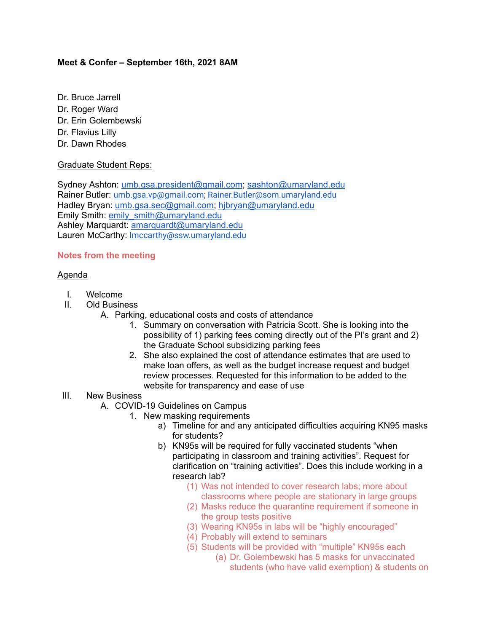# **Meet & Confer – September 16th, 2021 8AM**

- Dr. Bruce Jarrell
- Dr. Roger Ward
- Dr. Erin Golembewski
- Dr. Flavius Lilly
- Dr. Dawn Rhodes

#### Graduate Student Reps:

Sydney Ashton: [umb.gsa.president@gmail.com;](mailto:umb.gsa.president@gmail.com) [sashton@umaryland.edu](mailto:sashton@umaryland.edu) Rainer Butler: [umb.gsa.vp@gmail.com;](mailto:umb.gsa.vp@gmail.com) [Rainer.Butler@som.umaryland.edu](mailto:Rainer.Butler@som.umaryland.edu) Hadley Bryan: [umb.gsa.sec@gmail.com;](mailto:umb.gsa.sec@gmail.com) [hjbryan@umaryland.edu](mailto:hjbryan@umaryland.edu) Emily Smith: [emily\\_smith@umaryland.edu](mailto:emily_smith@umaryland.edu) Ashley Marquardt: [amarquardt@umaryland.edu](mailto:amarquardt@umaryland.edu) Lauren McCarthy: [lmccarthy@ssw.umaryland.edu](mailto:lmccarthy@ssw.umaryland.edu)

# **Notes from the meeting**

#### Agenda

- I. Welcome
- II. Old Business
	- A. Parking, educational costs and costs of attendance
		- 1. Summary on conversation with Patricia Scott. She is looking into the possibility of 1) parking fees coming directly out of the PI's grant and 2) the Graduate School subsidizing parking fees
		- 2. She also explained the cost of attendance estimates that are used to make loan offers, as well as the budget increase request and budget review processes. Requested for this information to be added to the website for transparency and ease of use

# III. New Business

- A. COVID-19 Guidelines on Campus
	- 1. New masking requirements
		- a) Timeline for and any anticipated difficulties acquiring KN95 masks for students?
		- b) KN95s will be required for fully vaccinated students "when participating in classroom and training activities". Request for clarification on "training activities". Does this include working in a research lab?
			- (1) Was not intended to cover research labs; more about classrooms where people are stationary in large groups
			- (2) Masks reduce the quarantine requirement if someone in the group tests positive
			- (3) Wearing KN95s in labs will be "highly encouraged"
			- (4) Probably will extend to seminars
			- (5) Students will be provided with "multiple" KN95s each
				- (a) Dr. Golembewski has 5 masks for unvaccinated students (who have valid exemption) & students on